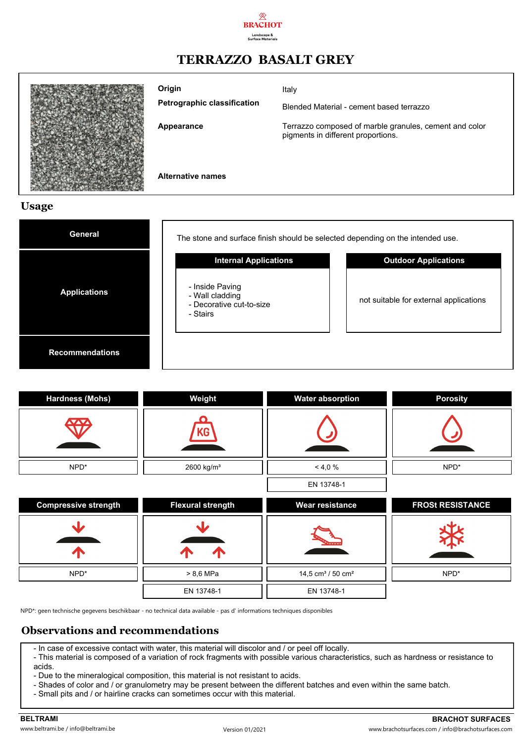

## **TERRAZZO BASALT GREY**



**Petrographic classification Origin**

Italy

Blended Material - cement based terrazzo

**Appearance**

Terrazzo composed of marble granules, cement and color pigments in different proportions.

**Alternative names**

#### **Usage**

| <b>General</b>         | The stone and surface finish should be selected depending on the intended use. |                                        |  |  |
|------------------------|--------------------------------------------------------------------------------|----------------------------------------|--|--|
|                        | <b>Internal Applications</b>                                                   | <b>Outdoor Applications</b>            |  |  |
| <b>Applications</b>    | - Inside Paving<br>- Wall cladding<br>- Decorative cut-to-size<br>- Stairs     | not suitable for external applications |  |  |
| <b>Recommendations</b> |                                                                                |                                        |  |  |

| <b>Hardness (Mohs)</b>      | Weight                   | <b>Water absorption</b>                   | <b>Porosity</b>         |
|-----------------------------|--------------------------|-------------------------------------------|-------------------------|
|                             | KG                       |                                           |                         |
| NPD*                        | 2600 kg/m <sup>3</sup>   | < 4,0%                                    | NPD*                    |
|                             |                          | EN 13748-1                                |                         |
| <b>Compressive strength</b> | <b>Flexural strength</b> | <b>Wear resistance</b>                    | <b>FROSt RESISTANCE</b> |
|                             |                          |                                           |                         |
|                             |                          |                                           |                         |
| NPD*                        | > 8,6 MPa                | 14,5 cm <sup>3</sup> / 50 cm <sup>2</sup> | NPD*                    |
|                             | EN 13748-1               | EN 13748-1                                |                         |

NPD\*: geen technische gegevens beschikbaar - no technical data available - pas d' informations techniques disponibles

#### **Observations and recommendations**

- In case of excessive contact with water, this material will discolor and / or peel off locally.
- This material is composed of a variation of rock fragments with possible various characteristics, such as hardness or resistance to acids.
- Due to the mineralogical composition, this material is not resistant to acids.
- Shades of color and / or granulometry may be present between the different batches and even within the same batch.
- Small pits and / or hairline cracks can sometimes occur with this material.

**BELTRAMI BRACHOT SURFACES** www.beltrami.be / info@beltrami.be Version 01/2021 www.brachotsurfaces.com / info@brachotsurfaces.com